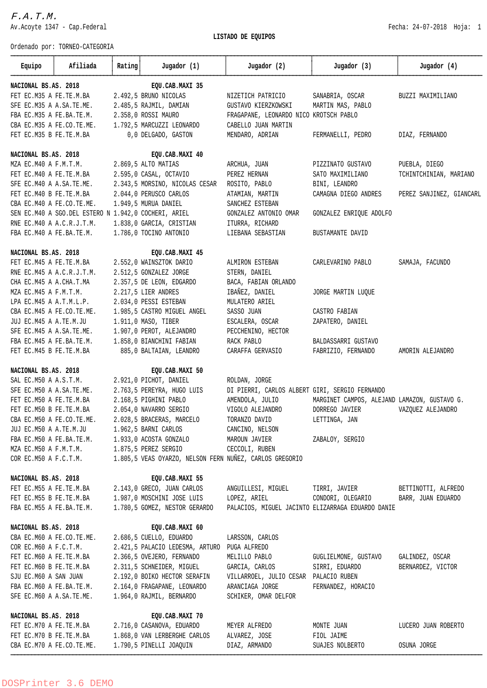Av.Acoyte 1347 - Cap.Federal Fecha: 24-07-2018 Hoja: 1 LISTADO DE EQUIPOS Ordenado por: TORNEO-CATEGORIA ÄÄÄÄÄÄÄÄÄÄÄÄÂÄÄÄÄÄÄÄÄÄÄÄÄÄÄÄÄÂÄÄÄÄÄÄÄÂÄÄÄÄÄÄÄÄÄÄÄÄÄÄÄÄÄÄÄÄÄÄÄÄÂÄÄÄÄÄÄÄÄÄÄÄÄÄÄÄÄÄÄÄÄÄÄÄÄÂÄÄÄÄÄÄÄÄÄÄÄÄÄÄÄÄÄÄÄÄÄÄÄÄÂÄÄÄÄÄÄÄÄÄÄÄÄÄÄÄÄÄÄÄÄÄÄÄÄ Equipo 3 Afiliada 3 Rating 3 Jugador (1) 3 Jugador (2) Jugador (2) Jugador (3) Jugador (3) 3 Jugador (4) ÄÄÄÄÄÄÄÄÄÄÄÄÁÄÄÄÄÄÄÄÄÄÄÄÄÄÄÄÄÁÄÄÄÄÄÄÄÁÄÄÄÄÄÄÄÄÄÄÄÄÄÄÄÄÄÄÄÄÄÄÄÄÁÄÄÄÄÄÄÄÄÄÄÄÄÄÄÄÄÄÄÄÄÄÄÄÄÁÄÄÄÄÄÄÄÄÄÄÄÄÄÄÄÄÄÄÄÄÄÄÄÄÁÄÄÄÄÄÄÄÄÄÄÄÄÄÄÄÄÄÄÄÄÄÄÄÄ NACIONAL BS.AS. 2018 EQU.CAB.MAXI 35 FET EC.M35 A FE.TE.M.BA 2.492,5 BRUNO NICOLAS NIZETICH PATRICIO SANABRIA, OSCAR BUZZI MAXIMILIANO SFE EC.M35 A A.SA.TE.ME. 2.485,5 RAJMIL, DAMIAN GUSTAVO KIERZKOWSKI MARTIN MAS, PABLO FBA EC.M35 A FE.BA.TE.M. 2.358,0 ROSSI MAURO FRAGAPANE, LEONARDO NICO KROTSCH PABLO CBA EC.M35 A FE.CO.TE.ME. 1.792,5 MARCUZZI LEONARDO CABELLO JUAN MARTIN FET EC.M35 B FE.TE.M.BA 0,0 DELGADO, GASTON MENDARO, ADRIAN FERMANELLI, PEDRO DIAZ, FERNANDO NACIONAL BS.AS. 2018 EQU.CAB.MAXI 40 MZA EC.M40 A F.M.T.M. 2.869,5 ALTO MATIAS ARCHUA, JUAN PIZZINATO GUSTAVO PUEBLA, DIEGO FET EC.M40 A FE.TE.M.BA 2.595,0 CASAL, OCTAVIO PEREZ HERNAN SATO MAXIMILIANO TCHINTCHINIAN, MARIANO SFE EC.M40 A A.SA.TE.ME. 2.343,5 MORSINO, NICOLAS CESAR ROSITO, PABLO BINI, LEANDRO FET EC.M40 B FE.TE.M.BA 2.044,0 PERUSCO CARLOS ATAMIAN, MARTIN CAMAGNA DIEGO ANDRES PEREZ SANJINEZ, GIANCARL CBA EC.M40 A FE.CO.TE.ME. 1.949,5 MURUA DANIEL SANCHEZ ESTEBAN SEN EC.M40 A SGO.DEL ESTERO N 1.942,0 COCHERI, ARIEL GONZALEZ ANTONIO OMAR GONZALEZ ENRIQUE ADOLFO RNE EC.M40 A A.C.R.J.T.M. 1.838,0 GARCIA, CRISTIAN ITURRA, RICHARD FBA EC.M40 A FE.BA.TE.M. 1.786,0 TOCINO ANTONIO LIEBANA SEBASTIAN BUSTAMANTE DAVID NACIONAL BS.AS. 2018 EQU.CAB.MAXI 45 FET EC.M45 A FE.TE.M.BA 2.552,0 WAINSZTOK DARIO ALMIRON ESTEBAN CARLEVARINO PABLO SAMAJA, FACUNDO RNE EC.M45 A A.C.R.J.T.M. 2.512,5 GONZALEZ JORGE STERN, DANIEL CHA EC.M45 A A.CHA.T.MA 2.357,5 DE LEON, EDGARDO BACA, FABIAN ORLANDO MZA EC.M45 A F.M.T.M. 2.217.5 LIER ANDRES IBA¥EZ. DANIEL JORGE MARTIN LUQUE LPA EC.M45 A A.T.M.L.P. 2.034,0 PESSI ESTEBAN MULATERO ARIEL CBA EC.M45 A FE.CO.TE.ME. 1.985,5 CASTRO MIGUEL ANGEL SASSO JUAN CASTRO FABIAN JUJ EC.M45 A A.TE.M.JU 1.911,0 MASO, TIBER ESCALERA, OSCAR ZAPATERO, DANIEL SFE EC.M45 A A.SA.TE.ME. 1.907,0 PEROT, ALEJANDRO PECCHENINO, HECTOR FBA EC.M45 A FE.BA.TE.M. 1.858,0 BIANCHINI FABIAN RACK PABLO BALDASSARRI GUSTAVO FET EC.M45 B FE.TE.M.BA 885,0 BALTAIAN, LEANDRO CARAFFA GERVASIO FABRIZIO, FERNANDO AMORIN ALEJANDRO NACIONAL BS.AS. 2018 EQU.CAB.MAXI 50 SAL EC.M50 A A.S.T.M. 2.921,0 PICHOT, DANIEL ROLDAN, JORGE SFE EC.M50 A A.SA.TE.ME. 2.763,5 PEREYRA, HUGO LUIS DI PIERRI, CARLOS ALBERT GIRI, SERGIO FERNANDO FET EC.M50 A FE.TE.M.BA 2.168,5 PIGHINI PABLO AMENDOLA, JULIO MARGINET CAMPOS, ALEJAND LAMAZON, GUSTAVO G. FET EC.M50 B FE.TE.M.BA 2.054,0 NAVARRO SERGIO VIGOLO ALEJANDRO DORREGO JAVIER VAZQUEZ ALEJANDRO CBA EC.M50 A FE.CO.TE.ME. 2.028,5 BRACERAS, MARCELO TORANZO DAVID LETTINGA, JAN JUJ EC.M50 A A.TE.M.JU 1.962,5 BARNI CARLOS CANCINO, NELSON FBA EC.M50 A FE.BA.TE.M. 1.933,0 ACOSTA GONZALO MAROUN JAVIER ZABALOY, SERGIO MZA EC.M50 A F.M.T.M. 1.875,5 PEREZ SERGIO CECCOLI, RUBEN COR EC.M50 A F.C.T.M. 1.805,5 VEAS OYARZO, NELSON FERN NU¥EZ, CARLOS GREGORIO NACIONAL BS.AS. 2018 EQU.CAB.MAXI 55 FET EC.M55 A FE.TE.M.BA 2.143,0 GRECO, JUAN CARLOS ANGUILLESI, MIGUEL TIRRI, JAVIER BETTINOTTI, ALFREDO FET EC.M55 B FE.TE.M.BA 1.987,0 MOSCHINI JOSE LUIS LOPEZ, ARIEL CONDORI, OLEGARIO BARR, JUAN EDUARDO FBA EC.M55 A FE.BA.TE.M. 1.780,5 GOMEZ, NESTOR GERARDO PALACIOS, MIGUEL JACINTO ELIZARRAGA EDUARDO DANIE NACIONAL BS.AS. 2018 EQU.CAB.MAXI 60 CBA EC.M60 A FE.CO.TE.ME. 2.686,5 CUELLO, EDUARDO LARSSON, CARLOS COR EC.M60 A F.C.T.M. 2.421,5 PALACIO LEDESMA, ARTURO PUGA ALFREDO FET EC.M60 A FE.TE.M.BA 2.366,5 OVEJERO, FERNANDO MELILLO PABLO GUGLIELMONE, GUSTAVO GALINDEZ, OSCAR FET EC.M60 B FE.TE.M.BA 2.311,5 SCHNEIDER, MIGUEL GARCIA, CARLOS SIRRI, EDUARDO BERNARDEZ, VICTOR SJU EC.M60 A SAN JUAN 2.192,0 BOIKO HECTOR SERAFIN VILLARROEL, JULIO CESAR PALACIO RUBEN FBA EC.M60 A FE.BA.TE.M. 2.164,0 FRAGAPANE, LEONARDO ARANCIAGA JORGE FERNANDEZ, HORACIO SFE EC.M60 A A.SA.TE.ME. 1.964,0 RAJMIL, BERNARDO SCHIKER, OMAR DELFOR NACIONAL BS.AS. 2018 EQU.CAB.MAXI 70

FET EC.M70 A FE.TE.M.BA 2.716,0 CASANOVA, EDUARDO MEYER ALFREDO MONTE JUAN LUCERO JUAN ROBERTO FET EC.M70 B FE.TE.M.BA 1.868,0 VAN LERBERGHE CARLOS ALVAREZ, JOSE FIOL JAIME CBA EC.M70 A FE.CO.TE.ME. 1.790,5 PINELLI JOAQUIN DIAZ, ARMANDO SUAJES NOLBERTO OSUNA JORGE ÄÄÄÄÄÄÄÄÄÄÄÄÄÄÄÄÄÄÄÄÄÄÄÄÄÄÄÄÄÄÄÄÄÄÄÄÄÄÄÄÄÄÄÄÄÄÄÄÄÄÄÄÄÄÄÄÄÄÄÄÄÄÄÄÄÄÄÄÄÄÄÄÄÄÄÄÄÄÄÄÄÄÄÄÄÄÄÄÄÄÄÄÄÄÄÄÄÄÄÄÄÄÄÄÄÄÄÄÄÄÄÄÄÄÄÄÄÄÄÄÄÄÄÄÄÄÄÄÄÄÄÄÄÄÄÄÄ

F.A.T.M.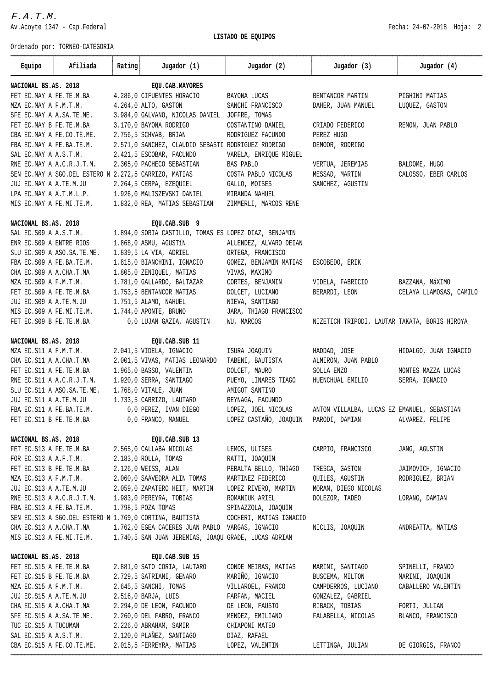$F.A. T.M.$ 

Av.Acoyte 1347 - Cap.Federal **Fecha:** 24-07-2018 Hoja: 2

 **LISTADO DE EQUIPOS**

| Ordenado por: TORNEO-CATEGORIA                                                        |                                                    |                 |                                                       |                                               |                         |  |
|---------------------------------------------------------------------------------------|----------------------------------------------------|-----------------|-------------------------------------------------------|-----------------------------------------------|-------------------------|--|
| Equipo<br>Afiliada                                                                    | Rating                                             | Jugador (1)     |                                                       | Jugador (2) Jugador (3)                       | Jugador (4)             |  |
| NACIONAL BS.AS. 2018                                                                  |                                                    | EQU.CAB.MAYORES |                                                       |                                               |                         |  |
| FET EC.MAY A FE.TE.M.BA                                                               | 4.286,0 CIFUENTES HORACIO                          |                 | BAYONA LUCAS                                          | BENTANCOR MARTIN                              | PIGHINI MATIAS          |  |
| MZA EC.MAY A F.M.T.M.                                                                 | 4.264,0 ALTO, GASTON                               |                 | SANCHI FRANCISCO                                      | DAHER, JUAN MANUEL                            | LUQUEZ, GASTON          |  |
| SFE EC.MAY A A.SA.TE.ME.                                                              | 3.984,0 GALVANO, NICOLAS DANIEL JOFFRE, TOMAS      |                 |                                                       |                                               |                         |  |
| FET EC.MAY B FE.TE.M.BA                                                               | 3.170,0 BAYONA RODRIGO                             |                 | COSTANTINO DANIEL                                     | CRIADO FEDERICO                               | REMON, JUAN PABLO       |  |
| CBA EC.MAY A FE.CO.TE.ME.                                                             | 2.756,5 SCHVAB, BRIAN                              |                 | RODRIGUEZ FACUNDO                                     | PEREZ HUGO                                    |                         |  |
| FBA EC.MAY A FE.BA.TE.M.                                                              | 2.571,0 SANCHEZ, CLAUDIO SEBASTI RODRIGUEZ RODRIGO |                 |                                                       | DEMOOR, RODRIGO                               |                         |  |
| SAL EC.MAY A A.S.T.M.                                                                 | 2.421,5 ESCOBAR, FACUNDO                           |                 | VARELA, ENRIOUE MIGUEL                                |                                               |                         |  |
| RNE EC.MAY A A.C.R.J.T.M.                                                             | 2.305,0 PACHECO SEBASTIAN                          |                 | BAS PABLO                                             | VERTUA, JEREMIAS                              | BALDOME, HUGO           |  |
| SEN EC.MAY A SGO.DEL ESTERO N 2.272,5 CARRIZO, MATIAS                                 |                                                    |                 | COSTA PABLO NICOLAS                                   | MESSAD, MARTIN                                | CALOSSO, EBER CARLOS    |  |
| JUJ EC.MAY A A.TE.M.JU                                                                | 2.264,5 CERPA, EZEQUIEL                            |                 | GALLO, MOISES                                         | SANCHEZ, AGUSTIN                              |                         |  |
| LPA EC. MAY A A.T.M.L.P. 1.926,0 MALISZEVSKI DANIEL MIRANDA NAHUEL                    |                                                    |                 |                                                       |                                               |                         |  |
| MIS EC. MAY A FE. MI. TE. M. 1.832, 0 REA, MATIAS SEBASTIAN ZIMMERLI, MARCOS RENE     |                                                    |                 |                                                       |                                               |                         |  |
| NACIONAL BS.AS. 2018                                                                  | EQU.CAB.SUB 9                                      |                 |                                                       |                                               |                         |  |
| SAL EC.S09 A A.S.T.M.                                                                 |                                                    |                 | 1.894,0 SORIA CASTILLO, TOMAS ES LOPEZ DIAZ, BENJAMIN |                                               |                         |  |
| ENR EC. S09 A ENTRE RIOS                                                              | 1.868,0 ASMU, AGUSTÍN                              |                 | ALLENDEZ, ALVARO DEIAN                                |                                               |                         |  |
| SLU EC.S09 A ASO.SA.TE.ME.                                                            | 1.839,5 LA VIA, ADRIEL                             |                 | ORTEGA, FRANCISCO                                     |                                               |                         |  |
| FBA EC.S09 A FE.BA.TE.M.                                                              | 1.815,0 BIANCHINI, IGNACIO                         |                 | GOMEZ, BENJAMIN MATIAS ESCOBEDO, ERIK                 |                                               |                         |  |
| CHA EC.S09 A A.CHA.T.MA                                                               | 1.805,0 ZENIQUEL, MATIAS                           |                 | VIVAS, MAXIMO                                         |                                               |                         |  |
| MZA EC.S09 A F.M.T.M.                                                                 | 1.781,0 GALLARDO, BALTAZAR                         |                 | CORTES, BENJAMIN                                      | VIDELA, FABRICIO                              | BAZZANA, MáXIMO         |  |
| FET EC.S09 A FE.TE.M.BA                                                               | 1.753,5 BENTANCOR MATIAS                           |                 | DOLCET, LUCIANO                                       | BERARDI, LEON                                 | CELAYA LLAMOSAS, CAMILO |  |
| JUJ EC.S09 A A.TE.M.JU                                                                | 1.751,5 ALAMO, NAHUEL                              |                 | NIEVA, SANTIAGO                                       |                                               |                         |  |
| MIS EC.S09 A FE.MI.TE.M.                                                              | 1.744,0 APONTE, BRUNO                              |                 | JARA, THIAGO FRANCISCO                                |                                               |                         |  |
| FET EC.S09 B FE.TE.M.BA                                                               | 0,0 LUJAN GAZIA, AGUSTIN                           |                 | WU, MARCOS                                            | NIZETICH TRIPODI, LAUTAR TAKATA, BORIS HIROYA |                         |  |
| NACIONAL BS.AS. 2018                                                                  | EQU.CAB.SUB 11                                     |                 |                                                       |                                               |                         |  |
| MZA EC.S11 A F.M.T.M.                                                                 | 2.041,5 VIDELA, IGNACIO                            |                 | ISURA JOAQUIN                                         | HADDAD, JOSE                                  | HIDALGO, JUAN IGNACIO   |  |
| CHA EC.S11 A A.CHA.T.MA                                                               | 2.001,5 VIVAS, MATIAS LEONARDO                     |                 | TABENI, BAUTISTA                                      | ALMIRON, JUAN PABLO                           |                         |  |
| FET EC. S11 A FE. TE. M. BA                                                           | 1.965,0 BASSO, VALENTIN                            |                 | DOLCET, MAURO                                         | SOLLA ENZO                                    | MONTES MAZZA LUCAS      |  |
| RNE EC. S11 A A.C.R.J.T.M.                                                            | 1.920,0 SERRA, SANTIAGO                            |                 | PUEYO, LINARES TIAGO                                  | HUENCHUAL EMILIO                              | SERRA, IGNACIO          |  |
| SLU EC.S11 A ASO.SA.TE.ME.                                                            | 1.768,0 VITALE, JUAN                               |                 | AMIGOT SANTINO                                        |                                               |                         |  |
| JUJ EC.S11 A A.TE.M.JU                                                                | 1.733,5 CARRIZO, LAUTARO                           |                 | REYNAGA, FACUNDO                                      |                                               |                         |  |
| FBA EC. S11 A FE. BA. TE. M.                                                          | 0,0 PEREZ, IVAN DIEGO                              |                 | LOPEZ, JOEL NICOLAS                                   | ANTON VILLALBA, LUCAS EZ EMANUEL, SEBASTIAN   |                         |  |
| FET EC.S11 B FE.TE.M.BA                                                               | 0,0 FRANCO, MANUEL                                 |                 | LOPEZ CASTAÑO, JOAQUIN PARODI, DAMIAN                 |                                               | ALVAREZ, FELIPE         |  |
| NACIONAL BS.AS. 2018                                                                  |                                                    | EQU.CAB.SUB 13  |                                                       |                                               |                         |  |
| FET EC.S13 A FE.TE.M.BA                                                               | 2.565,0 CALLABA NICOLAS                            |                 | LEMOS, ULISES                                         | CARPIO, FRANCISCO                             | JANG, AGUSTIN           |  |
| FOR EC.S13 A A.F.T.M.                                                                 | 2.183,0 ROLLA, TOMAS                               |                 | RATTI, JOAQUIN                                        |                                               |                         |  |
| FET EC.S13 B FE.TE.M.BA                                                               | 2.126,0 WEISS, ALAN                                |                 | PERALTA BELLO, THIAGO                                 | TRESCA, GASTON                                | JAIMOVICH, IGNACIO      |  |
| MZA EC.S13 A F.M.T.M.                                                                 | 2.060,0 SAAVEDRA ALIN TOMAS                        |                 | MARTINEZ FEDERICO                                     | QUILES, AGUSTIN                               | RODRIGUEZ, BRIAN        |  |
| JUJ EC.S13 A A.TE.M.JU                                                                | 2.059,0 ZAPATERO HEIT, MARTIN                      |                 | LOPEZ RIVERO, MARTIN                                  | MORAN, DIEGO NICOLAS                          |                         |  |
| RNE EC.S13 A A.C.R.J.T.M.                                                             | 1.983,0 PEREYRA, TOBIAS                            |                 | ROMANIUK ARIEL                                        | DOLEZOR, TADEO                                | LORANG, DAMIAN          |  |
| FBA EC.S13 A FE.BA.TE.M.<br>SEN EC. S13 A SGO. DEL ESTERO N 1.769,0 CORTINA, BAUTISTA | 1.798,5 POZA TOMAS                                 |                 | SPINAZZOLA, JOAQUIN                                   |                                               |                         |  |
|                                                                                       |                                                    |                 | COCHERI, MATIAS IGNACIO                               |                                               |                         |  |
| CHA EC.S13 A A.CHA.T.MA<br>MIS EC.S13 A FE.MI.TE.M.                                   | 1.762,0 EGEA CACERES JUAN PABLO VARGAS, IGNACIO    |                 | 1.740,5 SAN JUAN JEREMIAS, JOAQU GRADE, LUCAS ADRIAN  | NICLIS, JOAQUIN                               | ANDREATTA, MATIAS       |  |
|                                                                                       |                                                    |                 |                                                       |                                               |                         |  |
| NACIONAL BS.AS. 2018                                                                  |                                                    | EQU.CAB.SUB 15  |                                                       |                                               |                         |  |
| FET EC.S15 A FE.TE.M.BA                                                               | 2.881,0 SATO CORIA, LAUTARO                        |                 | CONDE MEIRAS, MATIAS                                  | MARINI, SANTIAGO                              | SPINELLI, FRANCO        |  |
| FET EC.S15 B FE.TE.M.BA                                                               | 2.729,5 SATRIANI, GENARO                           |                 | MARIÑO, IGNACIO                                       | BUSCEMA, MILTON                               | MARINI, JOAQUIN         |  |
| MZA EC.S15 A F.M.T.M.                                                                 | 2.645,5 SANCHI, TOMAS                              |                 | VILLAROEL, FRANCO                                     | CAMPDERROS, LUCIANO                           | CABALLERO VALENTIN      |  |
| JUJ EC.S15 A A.TE.M.JU                                                                | 2.516,0 BARJA, LUIS                                |                 | FARFAN, MACIEL                                        | GONZALEZ, GABRIEL                             |                         |  |
| CHA EC.S15 A A.CHA.T.MA                                                               | 2.294,0 DE LEON, FACUNDO                           |                 | DE LEON, FAUSTO                                       | RIBACK, TOBIAS                                | FORTI, JULIAN           |  |
| SFE EC.S15 A A.SA.TE.ME.                                                              | 2.260,0 DEL FABRO, FRANCO                          |                 | MENDEZ, EMILIANO                                      | FALABELLA, NICOLAS                            | BLANCO, FRANCISCO       |  |
| TUC EC.S15 A TUCUMAN                                                                  | 2.226,0 ABRAHAM, SAMIR                             |                 | CHIAPONI MATEO                                        |                                               |                         |  |
| SAL EC.S15 A A.S.T.M.                                                                 | 2.120,0 PLAÑEZ, SANTIAGO                           |                 | DIAZ, RAFAEL                                          |                                               |                         |  |
| CBA EC.S15 A FE.CO.TE.ME.                                                             | 2.015,5 FERREYRA, MATIAS                           |                 | LOPEZ, VALENTIN                                       | LETTINGA, JULIAN                              | DE GIORGIS, FRANCO      |  |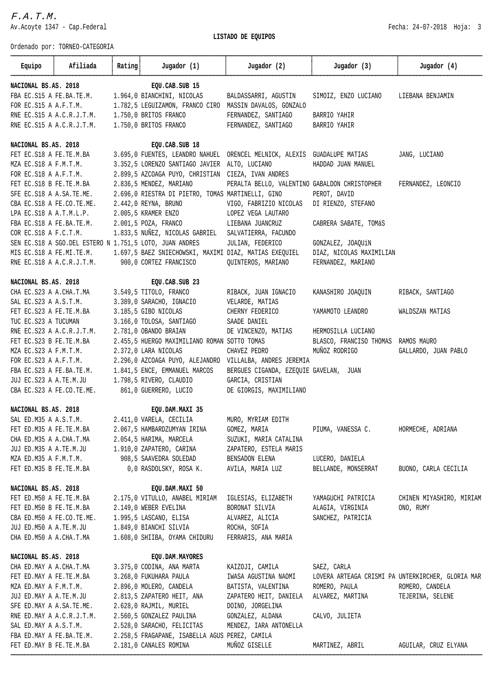$F.A. T.M.$ 

Av.Acoyte 1347 - Cap.Federal **Fecha:** 24-07-2018 Hoja: 3

Ordenado por: TORNEO-CATEGORIA

| Equipo                    | Afiliada                                            | Rating | Jugador (1)                                                                     | Jugador (2)                                                              | Jugador (3)                                                | Jugador (4)              |
|---------------------------|-----------------------------------------------------|--------|---------------------------------------------------------------------------------|--------------------------------------------------------------------------|------------------------------------------------------------|--------------------------|
| NACIONAL BS.AS. 2018      |                                                     |        | EQU.CAB.SUB 15                                                                  |                                                                          |                                                            |                          |
| FBA EC.S15 A FE.BA.TE.M.  |                                                     |        | 1.964,0 BIANCHINI, NICOLAS                                                      |                                                                          | BALDASSARRI, AGUSTIN SIMOIZ, ENZO LUCIANO LIEBANA BENJAMIN |                          |
| FOR EC.S15 A A.F.T.M.     |                                                     |        |                                                                                 | 1.782,5 LEGUIZAMON, FRANCO CIRO MASSIN DAVALOS, GONZALO                  |                                                            |                          |
|                           | RNE EC.S15 A A.C.R.J.T.M. 1.750,0 BRITOS FRANCO     |        |                                                                                 | FERNANDEZ, SANTIAGO                                                      | BARRIO YAHIR                                               |                          |
|                           | RNE EC.S15 A A.C.R.J.T.M. 1.750,0 BRITOS FRANCO     |        |                                                                                 | FERNANDEZ, SANTIAGO BARRIO YAHIR                                         |                                                            |                          |
| NACIONAL BS.AS. 2018      |                                                     |        | EQU.CAB.SUB 18                                                                  |                                                                          |                                                            |                          |
|                           | FET EC. S18 A FE. TE. M. BA                         |        |                                                                                 | 3.695,0 FUENTES, LEANDRO NAHUEL ORENCEL MELNICK, ALEXIS GUADALUPE MATIAS |                                                            | JANG, LUCIANO            |
| MZA EC.S18 A F.M.T.M.     |                                                     |        | 3.352,5 LORENZO SANTIAGO JAVIER ALTO, LUCIANO                                   |                                                                          | HADDAD JUAN MANUEL                                         |                          |
| FOR EC.S18 A A.F.T.M.     |                                                     |        | 2.899,5 AZCOAGA PUYO, CHRISTIAN CIEZA, IVAN ANDRES                              |                                                                          |                                                            |                          |
| FET EC.S18 B FE.TE.M.BA   |                                                     |        | 2.836,5 MENDEZ, MARIANO                                                         | PERALTA BELLO, VALENTINO GABALDON CHRISTOPHER                            |                                                            | FERNANDEZ, LEONCIO       |
| SFE EC.S18 A A.SA.TE.ME.  |                                                     |        | 2.696,0 RIESTRA DI PIETRO, TOMAS MARTINELLI, GINO                               |                                                                          | PEROT, DAVID                                               |                          |
|                           | CBA EC.S18 A FE.CO.TE.ME.                           |        | 2.442,0 REYNA, BRUNO                                                            | VIGO, FABRIZIO NICOLAS DI RIENZO, STEFANO                                |                                                            |                          |
|                           | LPA EC.S18 A A.T.M.L.P.                             |        | 2.005,5 KRAMER ENZO                                                             | LOPEZ VEGA LAUTARO                                                       |                                                            |                          |
|                           | FBA EC.S18 A FE.BA.TE.M.                            |        | 2.001,5 POZA, FRANCO                                                            | LIEBANA JUANCRUZ                                                         | CABRERA SABATE, TOMÁS                                      |                          |
|                           | COR EC.S18 A F.C.T.M.                               |        | 1.833,5 NUÑEZ, NICOLAS GABRIEL SALVATIERRA, FACUNDO                             |                                                                          |                                                            |                          |
|                           |                                                     |        | SEN EC. S18 A SGO. DEL ESTERO N 1.751,5 LOTO, JUAN ANDRES                       | JULIAN, FEDERICO                                                         | GONZALEZ, JOAQUÍN                                          |                          |
|                           |                                                     |        | MIS EC.S18 A FE.MI.TE.M. 1.697,5 BAEZ SNIECHOWSKI, MAXIMI DIAZ, MATIAS EXEQUIEL |                                                                          | DIAZ, NICOLAS MAXIMILIAN                                   |                          |
|                           |                                                     |        | RNE EC.S18 A A.C.R.J.T.M. 900,0 CORTEZ FRANCISCO                                | QUINTEROS, MARIANO                                                       | FERNANDEZ, MARIANO                                         |                          |
| NACIONAL BS.AS. 2018      |                                                     |        | EQU.CAB.SUB 23                                                                  |                                                                          |                                                            |                          |
|                           | CHA EC. S23 A A. CHA. T. MA 3.549, 5 TITOLO, FRANCO |        |                                                                                 | RIBACK, JUAN IGNACIO                                                     | KANASHIRO JOAQUIN                                          | RIBACK, SANTIAGO         |
| SAL EC.S23 A A.S.T.M.     |                                                     |        | 3.389,0 SARACHO, IGNACIO                                                        | VELARDE, MATIAS                                                          |                                                            |                          |
| FET EC.S23 A FE.TE.M.BA   |                                                     |        | 3.185,5 GIBO NICOLAS                                                            | CHERNY FEDERICO                                                          | YAMAMOTO LEANDRO                                           | WALDSZAN MATIAS          |
| TUC EC. S23 A TUCUMAN     |                                                     |        | 3.166,0 TOLOSA, SANTIAGO                                                        | SAADE DANIEL                                                             |                                                            |                          |
|                           | RNE EC.S23 A A.C.R.J.T.M.                           |        | 2.781,0 OBANDO BRAIAN                                                           | DE VINCENZO, MATIAS                                                      | HERMOSILLA LUCIANO                                         |                          |
| FET EC.S23 B FE.TE.M.BA   |                                                     |        | 2.455,5 HUERGO MAXIMILIANO ROMAN SOTTO TOMAS                                    |                                                                          | BLASCO, FRANCISO THOMAS RAMOS MAURO                        |                          |
| MZA EC.S23 A F.M.T.M.     |                                                     |        | 2.372,0 LARA NICOLAS                                                            | CHAVEZ PEDRO                                                             | MUÑOZ RODRIGO                                              | GALLARDO, JUAN PABLO     |
| FOR EC.S23 A A.F.T.M.     |                                                     |        |                                                                                 | 2.296,0 AZCOAGA PUYO, ALEJANDRO VILLALBA, ANDRES JEREMIA                 |                                                            |                          |
| FBA EC.S23 A FE.BA.TE.M.  |                                                     |        | 1.841,5 ENCE, EMMANUEL MARCOS                                                   | BERGUES CIGANDA, EZEQUIE GAVELAN, JUAN                                   |                                                            |                          |
| JUJ EC.S23 A A.TE.M.JU    |                                                     |        | 1.798,5 RIVERO, CLAUDIO                                                         | GARCIA, CRISTIAN                                                         |                                                            |                          |
| CBA EC.S23 A FE.CO.TE.ME. |                                                     |        | 861,0 GUERRERO, LUCIO                                                           | DE GIORGIS, MAXIMILIANO                                                  |                                                            |                          |
| NACIONAL BS.AS. 2018      |                                                     |        | EQU.DAM.MAXI 35                                                                 |                                                                          |                                                            |                          |
| SAL ED.M35 A A.S.T.M.     |                                                     |        | 2.411,0 VARELA, CECILIA                                                         | MURO, MYRIAM EDITH                                                       |                                                            |                          |
| FET ED.M35 A FE.TE.M.BA   |                                                     |        | 2.067,5 HAMBARDZUMYAN IRINA                                                     | GOMEZ, MARIA                                                             | PIUMA, VANESSA C.                                          | HORMECHE, ADRIANA        |
| CHA ED.M35 A A.CHA.T.MA   |                                                     |        | 2.054,5 HARIMA, MARCELA                                                         | SUZUKI, MARIA CATALINA                                                   |                                                            |                          |
| JUJ ED.M35 A A.TE.M.JU    |                                                     |        | 1.910,0 ZAPATERO, CARINA                                                        | ZAPATERO, ESTELA MARIS                                                   |                                                            |                          |
| MZA ED.M35 A F.M.T.M.     |                                                     |        | 908,5 SAAVEDRA SOLEDAD                                                          | BENSADON ELENA                                                           | LUCERO, DANIELA                                            |                          |
| FET ED.M35 B FE.TE.M.BA   |                                                     |        | 0,0 RASDOLSKY, ROSA K.                                                          | AVILA, MARIA LUZ                                                         | BELLANDE, MONSERRAT                                        | BUONO, CARLA CECILIA     |
| NACIONAL BS.AS. 2018      |                                                     |        | EQU.DAM.MAXI 50                                                                 |                                                                          |                                                            |                          |
| FET ED.M50 A FE.TE.M.BA   |                                                     |        | 2.175,0 VITULLO, ANABEL MIRIAM                                                  | IGLESIAS, ELIZABETH                                                      | YAMAGUCHI PATRICIA                                         | CHINEN MIYASHIRO, MIRIAM |
| FET ED.M50 B FE.TE.M.BA   |                                                     |        | 2.149,0 WEBER EVELINA                                                           | BORONAT SILVIA                                                           | ALAGIA, VIRGINIA                                           | ONO, RUMY                |
| CBA ED.M50 A FE.CO.TE.ME. |                                                     |        | 1.995,5 LASCANO, ELISA                                                          | ALVAREZ, ALICIA                                                          | SANCHEZ, PATRICIA                                          |                          |
| JUJ ED.M50 A A.TE.M.JU    |                                                     |        | 1.849,0 BIANCHI SILVIA                                                          | ROCHA, SOFIA                                                             |                                                            |                          |
| CHA ED.M50 A A.CHA.T.MA   |                                                     |        | 1.608,0 SHIIBA, OYAMA CHIDURU                                                   | FERRARIS, ANA MARIA                                                      |                                                            |                          |
| NACIONAL BS.AS. 2018      |                                                     |        | EQU.DAM.MAYORES                                                                 |                                                                          |                                                            |                          |
| CHA ED.MAY A A.CHA.T.MA   |                                                     |        | 3.375,0 CODINA, ANA MARTA                                                       | KAIZOJI, CAMILA                                                          | SAEZ, CARLA                                                |                          |
| FET ED.MAY A FE.TE.M.BA   |                                                     |        | 3.268,0 FUKUHARA PAULA                                                          | IWASA AGUSTINA NAOMI                                                     | LOVERA ARTEAGA CRISMI PA UNTERKIRCHER, GLORIA MAR          |                          |
| MZA ED.MAY A F.M.T.M.     |                                                     |        | 2.896,0 MOLERO, CANDELA                                                         | BATISTA, VALENTINA                                                       | ROMERO, PAULA                                              | ROMERO, CANDELA          |
| JUJ ED.MAY A A.TE.M.JU    |                                                     |        | 2.813,5 ZAPATERO HEIT, ANA                                                      | ZAPATERO HEIT, DANIELA                                                   | ALVAREZ, MARTINA                                           | TEJERINA, SELENE         |
| SFE ED.MAY A A.SA.TE.ME.  |                                                     |        | 2.628,0 RAJMIL, MURIEL                                                          | DOINO, JORGELINA                                                         |                                                            |                          |
| RNE ED.MAY A A.C.R.J.T.M. |                                                     |        | 2.560,5 GONZALEZ PAULINA                                                        | GONZALEZ, ALDANA                                                         | CALVO, JULIETA                                             |                          |
| SAL ED.MAY A A.S.T.M.     |                                                     |        | 2.528,0 SARACHO, FELICITAS                                                      | MENDEZ, IARA ANTONELLA                                                   |                                                            |                          |
| FBA ED.MAY A FE.BA.TE.M.  |                                                     |        | 2.258,5 FRAGAPANE, ISABELLA AGUS PEREZ, CAMILA                                  |                                                                          |                                                            |                          |
| FET ED.MAY B FE.TE.M.BA   |                                                     |        | 2.181,0 CANALES ROMINA                                                          | MUÑOZ GISELLE                                                            | MARTINEZ, ABRIL                                            | AGUILAR, CRUZ ELYANA     |